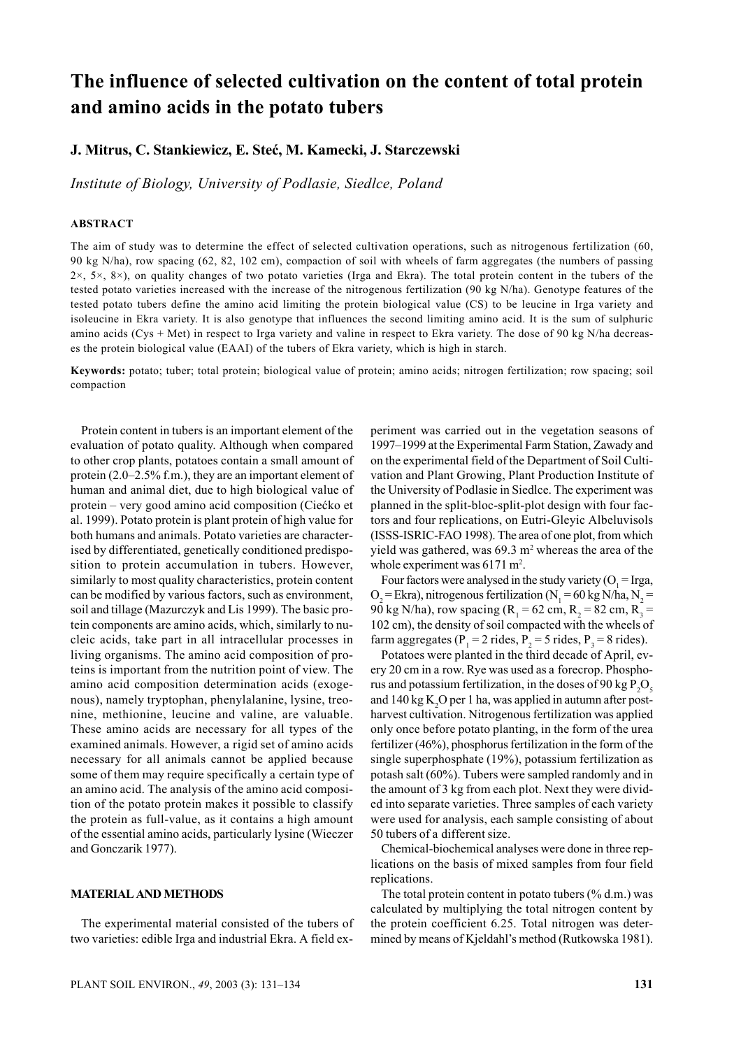# **The influence of selected cultivation on the content of total protein and amino acids in the potato tubers**

# **J. Mitrus, C. Stankiewicz, E. Steć, M. Kamecki, J. Starczewski**

*Institute of Biology, University of Podlasie, Siedlce, Poland*

## **ABSTRACT**

The aim of study was to determine the effect of selected cultivation operations, such as nitrogenous fertilization (60, 90 kg N/ha), row spacing (62, 82, 102 cm), compaction of soil with wheels of farm aggregates (the numbers of passing  $2\times$ ,  $5\times$ ,  $8\times$ ), on quality changes of two potato varieties (Irga and Ekra). The total protein content in the tubers of the tested potato varieties increased with the increase of the nitrogenous fertilization (90 kg N/ha). Genotype features of the tested potato tubers define the amino acid limiting the protein biological value (CS) to be leucine in Irga variety and isoleucine in Ekra variety. It is also genotype that influences the second limiting amino acid. It is the sum of sulphuric amino acids (Cys + Met) in respect to Irga variety and valine in respect to Ekra variety. The dose of 90 kg N/ha decreases the protein biological value (EAAI) of the tubers of Ekra variety, which is high in starch.

**Keywords:** potato; tuber; total protein; biological value of protein; amino acids; nitrogen fertilization; row spacing; soil compaction

Protein content in tubers is an important element of the evaluation of potato quality. Although when compared to other crop plants, potatoes contain a small amount of protein (2.0–2.5% f.m.), they are an important element of human and animal diet, due to high biological value of protein – very good amino acid composition (Ciećko et al. 1999). Potato protein is plant protein of high value for both humans and animals. Potato varieties are characterised by differentiated, genetically conditioned predisposition to protein accumulation in tubers. However, similarly to most quality characteristics, protein content can be modified by various factors, such as environment, soil and tillage (Mazurczyk and Lis 1999). The basic protein components are amino acids, which, similarly to nucleic acids, take part in all intracellular processes in living organisms. The amino acid composition of proteins is important from the nutrition point of view. The amino acid composition determination acids (exogenous), namely tryptophan, phenylalanine, lysine, treonine, methionine, leucine and valine, are valuable. These amino acids are necessary for all types of the examined animals. However, a rigid set of amino acids necessary for all animals cannot be applied because some of them may require specifically a certain type of an amino acid. The analysis of the amino acid composition of the potato protein makes it possible to classify the protein as full-value, as it contains a high amount of the essential amino acids, particularly lysine (Wieczer and Gonczarik 1977).

### **MATERIAL AND METHODS**

The experimental material consisted of the tubers of two varieties: edible Irga and industrial Ekra. A field experiment was carried out in the vegetation seasons of 1997–1999 at the Experimental Farm Station, Zawady and on the experimental field of the Department of Soil Cultivation and Plant Growing, Plant Production Institute of the University of Podlasie in Siedlce. The experiment was planned in the split-bloc-split-plot design with four factors and four replications, on Eutri-Gleyic Albeluvisols (ISSS-ISRIC-FAO 1998). The area of one plot, from which yield was gathered, was  $69.3 \text{ m}^2$  whereas the area of the whole experiment was  $6171 \text{ m}^2$ .

Four factors were analysed in the study variety ( $O_1$  = Irga,  $O_2$  = Ekra), nitrogenous fertilization (N<sub>1</sub> = 60 kg N/ha, N<sub>2</sub> = 90 kg N/ha), row spacing (R<sub>1</sub> = 62 cm, R<sub>2</sub> = 82 cm, R<sub>3</sub> = 102 cm), the density of soil compacted with the wheels of farm aggregates ( $P_1 = 2$  rides,  $P_2 = 5$  rides,  $P_3 = 8$  rides).

Potatoes were planted in the third decade of April, every 20 cm in a row. Rye was used as a forecrop. Phosphorus and potassium fertilization, in the doses of 90 kg  $P_2O_5$ and  $140 \text{ kg K}<sub>2</sub>O$  per 1 ha, was applied in autumn after postharvest cultivation. Nitrogenous fertilization was applied only once before potato planting, in the form of the urea fertilizer (46%), phosphorus fertilization in the form of the single superphosphate (19%), potassium fertilization as potash salt (60%). Tubers were sampled randomly and in the amount of 3 kg from each plot. Next they were divided into separate varieties. Three samples of each variety were used for analysis, each sample consisting of about 50 tubers of a different size.

Chemical-biochemical analyses were done in three replications on the basis of mixed samples from four field replications.

The total protein content in potato tubers  $(\%$  d.m.) was calculated by multiplying the total nitrogen content by the protein coefficient 6.25. Total nitrogen was determined by means of Kjeldahl's method (Rutkowska 1981).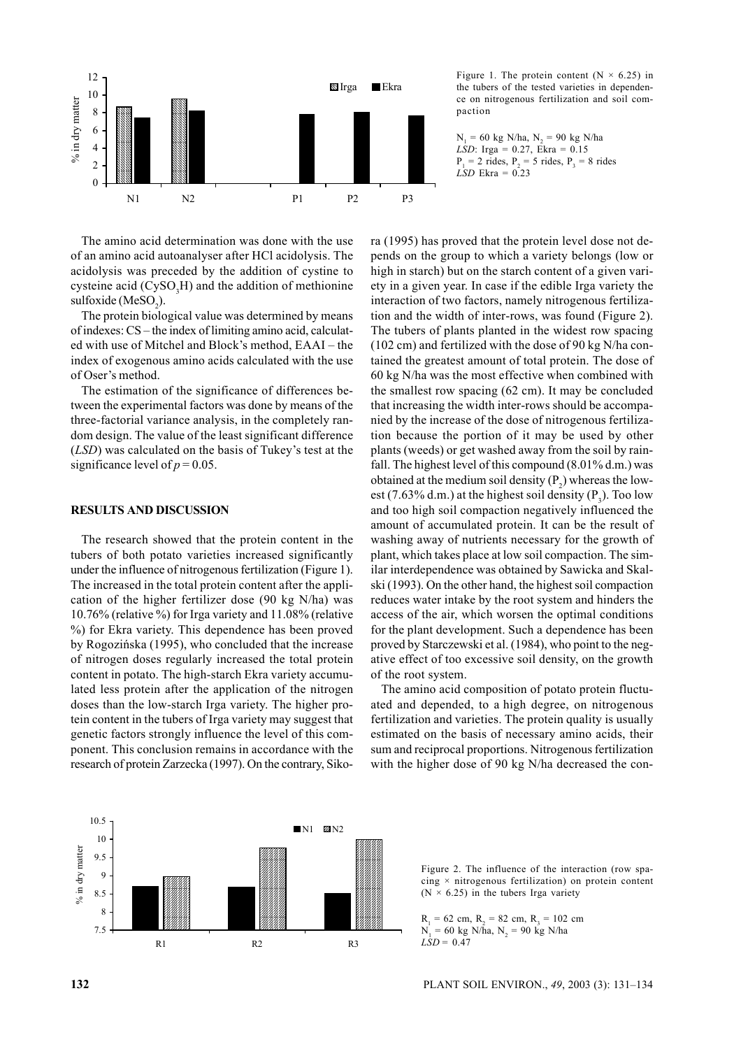

The amino acid determination was done with the use of an amino acid autoanalyser after HCl acidolysis. The acidolysis was preceded by the addition of cystine to cysteine acid  $(CySO<sub>3</sub>H)$  and the addition of methionine sulfoxide ( $MeSO<sub>2</sub>$ ).

The protein biological value was determined by means of indexes: CS – the index of limiting amino acid, calculated with use of Mitchel and Block's method, EAAI – the index of exogenous amino acids calculated with the use of Oser's method.

The estimation of the significance of differences between the experimental factors was done by means of the three-factorial variance analysis, in the completely random design. The value of the least significant difference (*LSD*) was calculated on the basis of Tukey's test at the significance level of  $p = 0.05$ .

#### **RESULTS AND DISCUSSION**

The research showed that the protein content in the tubers of both potato varieties increased significantly under the influence of nitrogenous fertilization (Figure 1). The increased in the total protein content after the application of the higher fertilizer dose (90 kg N/ha) was 10.76% (relative %) for Irga variety and 11.08% (relative %) for Ekra variety. This dependence has been proved by Rogozińska (1995), who concluded that the increase of nitrogen doses regularly increased the total protein content in potato. The high-starch Ekra variety accumulated less protein after the application of the nitrogen doses than the low-starch Irga variety. The higher protein content in the tubers of Irga variety may suggest that genetic factors strongly influence the level of this component. This conclusion remains in accordance with the research of protein Zarzecka (1997). On the contrary, Siko-

Figure 1. The protein content ( $N \times 6.25$ ) in the tubers of the tested varieties in dependence on nitrogenous fertilization and soil compaction

 $N_1 = 60$  kg N/ha,  $N_2 = 90$  kg N/ha *LSD*: Irga = 0.27, Ekra = 0.15  $P_1 = 2$  rides,  $P_2 = 5$  rides,  $P_3 = 8$  rides *LSD* Ekra = 0.23

ra (1995) has proved that the protein level dose not depends on the group to which a variety belongs (low or high in starch) but on the starch content of a given variety in a given year. In case if the edible Irga variety the interaction of two factors, namely nitrogenous fertilization and the width of inter-rows, was found (Figure 2). The tubers of plants planted in the widest row spacing (102 cm) and fertilized with the dose of 90 kg N/ha contained the greatest amount of total protein. The dose of 60 kg N/ha was the most effective when combined with the smallest row spacing (62 cm). It may be concluded that increasing the width inter-rows should be accompanied by the increase of the dose of nitrogenous fertilization because the portion of it may be used by other plants (weeds) or get washed away from the soil by rainfall. The highest level of this compound (8.01% d.m.) was obtained at the medium soil density  $(P_2)$  whereas the lowest (7.63% d.m.) at the highest soil density  $(P_3)$ . Too low and too high soil compaction negatively influenced the amount of accumulated protein. It can be the result of washing away of nutrients necessary for the growth of plant, which takes place at low soil compaction. The similar interdependence was obtained by Sawicka and Skalski (1993). On the other hand, the highest soil compaction reduces water intake by the root system and hinders the access of the air, which worsen the optimal conditions for the plant development. Such a dependence has been proved by Starczewski et al. (1984), who point to the negative effect of too excessive soil density, on the growth of the root system.

The amino acid composition of potato protein fluctuated and depended, to a high degree, on nitrogenous fertilization and varieties. The protein quality is usually estimated on the basis of necessary amino acids, their sum and reciprocal proportions. Nitrogenous fertilization with the higher dose of 90 kg N/ha decreased the con-



Figure 2. The influence of the interaction (row spacing  $\times$  nitrogenous fertilization) on protein content  $(N \times 6.25)$  in the tubers Irga variety

 $R_1 = 62$  cm,  $R_2 = 82$  cm,  $R_3 = 102$  cm  $N_1 = 60$  kg N/ha,  $N_2 = 90$  kg N/ha  $LSD = 0.47$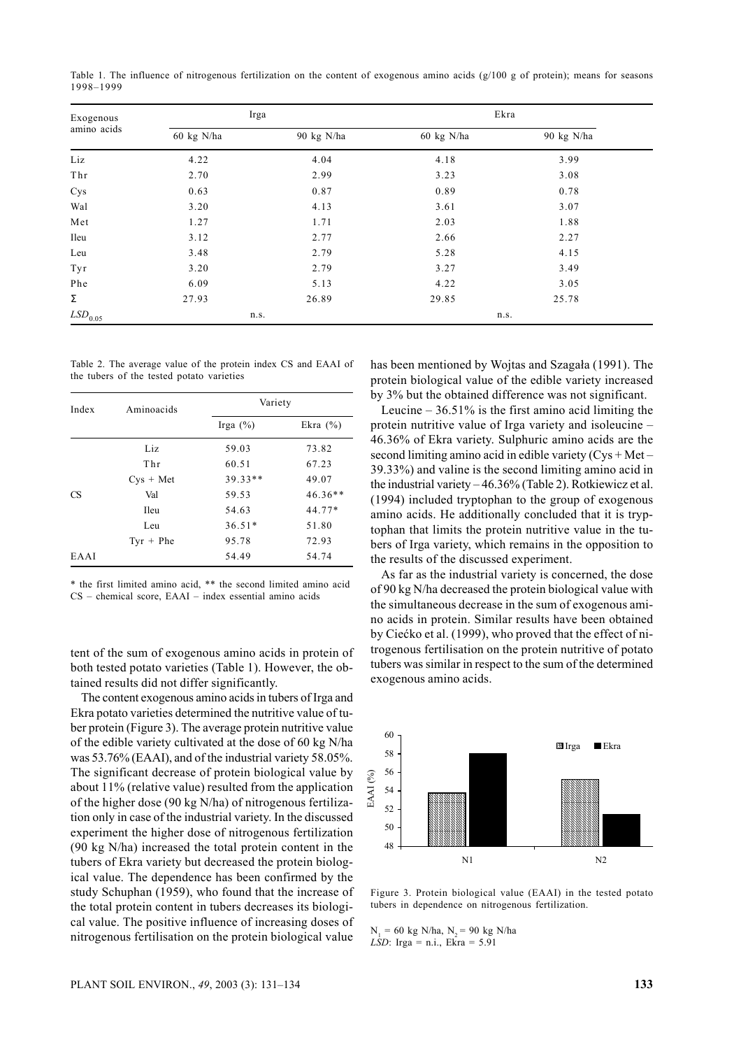Table 1. The influence of nitrogenous fertilization on the content of exogenous amino acids (g/100 g of protein); means for seasons 1998–1999

| Exogenous<br>amino acids | Irga                 |            | Ekra       |            |  |
|--------------------------|----------------------|------------|------------|------------|--|
|                          | $60 \text{ kg}$ N/ha | 90 kg N/ha | 60 kg N/ha | 90 kg N/ha |  |
| Liz                      | 4.22                 | 4.04       | 4.18       | 3.99       |  |
| Thr                      | 2.70                 | 2.99       | 3.23       | 3.08       |  |
| Cys                      | 0.63                 | 0.87       | 0.89       | 0.78       |  |
| Wal                      | 3.20                 | 4.13       | 3.61       | 3.07       |  |
| Met                      | 1.27                 | 1.71       | 2.03       | 1.88       |  |
| Ileu                     | 3.12                 | 2.77       | 2.66       | 2.27       |  |
| Leu                      | 3.48                 | 2.79       | 5.28       | 4.15       |  |
| Tyr                      | 3.20                 | 2.79       | 3.27       | 3.49       |  |
| Phe                      | 6.09                 | 5.13       | 4.22       | 3.05       |  |
| Σ                        | 27.93                | 26.89      | 29.85      | 25.78      |  |
| $LSD_{0.05}$             | n.s.                 |            | n.s.       |            |  |

Table 2. The average value of the protein index CS and EAAI of the tubers of the tested potato varieties

| Index | Aminoacids      | Variety     |              |  |
|-------|-----------------|-------------|--------------|--|
|       |                 | Irga $(\%)$ | Ekra $(\% )$ |  |
|       | Liz             | 59.03       | 73.82        |  |
|       | T <sub>hr</sub> | 60.51       | 67.23        |  |
|       | $Cvs + Met$     | $39.33**$   | 49.07        |  |
| CS.   | Val             | 59.53       | $46.36**$    |  |
|       | <b>Ileu</b>     | 54.63       | $44.77*$     |  |
|       | Leu             | $36.51*$    | 51.80        |  |
|       | $Tyr + Phe$     | 95.78       | 72.93        |  |
| EAAI  |                 | 54.49       | 54.74        |  |

\* the first limited amino acid, \*\* the second limited amino acid CS – chemical score, EAAI – index essential amino acids

tent of the sum of exogenous amino acids in protein of both tested potato varieties (Table 1). However, the obtained results did not differ significantly.

The content exogenous amino acids in tubers of Irga and Ekra potato varieties determined the nutritive value of tuber protein (Figure 3). The average protein nutritive value of the edible variety cultivated at the dose of 60 kg N/ha was 53.76% (EAAI), and of the industrial variety 58.05%. The significant decrease of protein biological value by about 11% (relative value) resulted from the application of the higher dose (90 kg N/ha) of nitrogenous fertilization only in case of the industrial variety. In the discussed experiment the higher dose of nitrogenous fertilization (90 kg N/ha) increased the total protein content in the tubers of Ekra variety but decreased the protein biological value. The dependence has been confirmed by the study Schuphan (1959), who found that the increase of the total protein content in tubers decreases its biological value. The positive influence of increasing doses of nitrogenous fertilisation on the protein biological value

has been mentioned by Wojtas and Szagała (1991). The protein biological value of the edible variety increased by 3% but the obtained difference was not significant.

Leucine  $-36.51\%$  is the first amino acid limiting the protein nutritive value of Irga variety and isoleucine – 46.36% of Ekra variety. Sulphuric amino acids are the second limiting amino acid in edible variety  $(Cys + Met -$ 39.33%) and valine is the second limiting amino acid in the industrial variety – 46.36% (Table 2). Rotkiewicz et al. (1994) included tryptophan to the group of exogenous amino acids. He additionally concluded that it is tryptophan that limits the protein nutritive value in the tubers of Irga variety, which remains in the opposition to the results of the discussed experiment.

As far as the industrial variety is concerned, the dose of 90 kg N/ha decreased the protein biological value with the simultaneous decrease in the sum of exogenous amino acids in protein. Similar results have been obtained by Ciećko et al. (1999), who proved that the effect of nitrogenous fertilisation on the protein nutritive of potato tubers was similar in respect to the sum of the determined exogenous amino acids.



Figure 3. Protein biological value (EAAI) in the tested potato tubers in dependence on nitrogenous fertilization.

 $N_1 = 60$  kg N/ha,  $N_2 = 90$  kg N/ha *LSD*: Irga = n.i., Ekra = 5.91